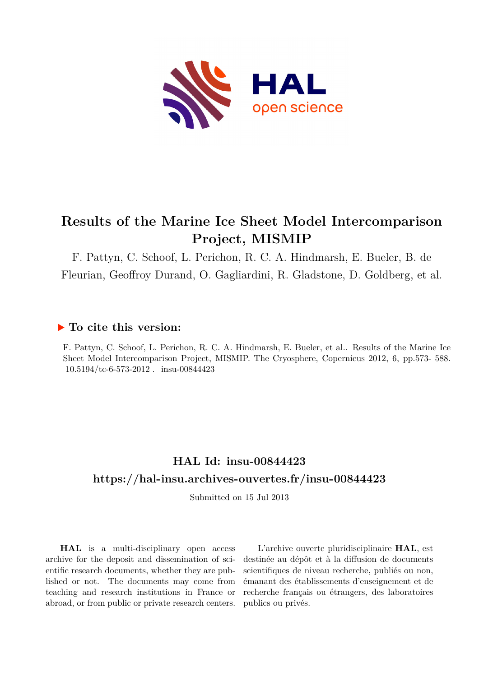

# **Results of the Marine Ice Sheet Model Intercomparison Project, MISMIP**

F. Pattyn, C. Schoof, L. Perichon, R. C. A. Hindmarsh, E. Bueler, B. de Fleurian, Geoffroy Durand, O. Gagliardini, R. Gladstone, D. Goldberg, et al.

### **To cite this version:**

F. Pattyn, C. Schoof, L. Perichon, R. C. A. Hindmarsh, E. Bueler, et al.. Results of the Marine Ice Sheet Model Intercomparison Project, MISMIP. The Cryosphere, Copernicus 2012, 6, pp.573- 588.  $10.5194/\text{tc}$ -6-573-2012. insu-00844423

### **HAL Id: insu-00844423 <https://hal-insu.archives-ouvertes.fr/insu-00844423>**

Submitted on 15 Jul 2013

**HAL** is a multi-disciplinary open access archive for the deposit and dissemination of scientific research documents, whether they are published or not. The documents may come from teaching and research institutions in France or abroad, or from public or private research centers.

L'archive ouverte pluridisciplinaire **HAL**, est destinée au dépôt et à la diffusion de documents scientifiques de niveau recherche, publiés ou non, émanant des établissements d'enseignement et de recherche français ou étrangers, des laboratoires publics ou privés.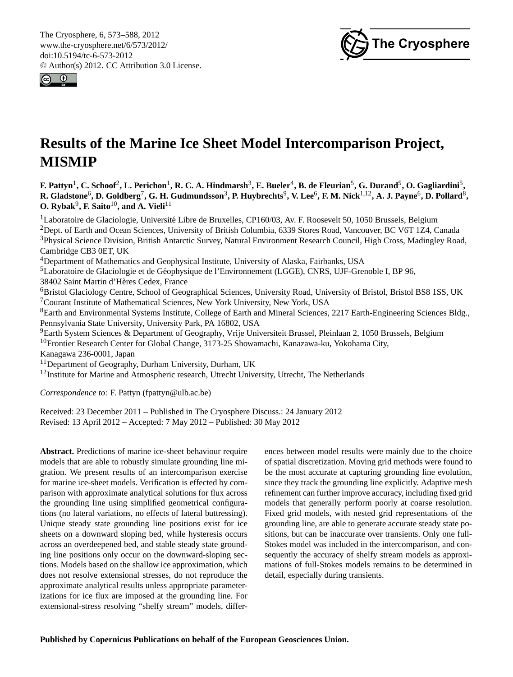<span id="page-1-0"></span>The Cryosphere, 6, 573–588, 2012 www.the-cryosphere.net/6/573/2012/ doi:10.5194/tc-6-573-2012 © Author(s) 2012. CC Attribution 3.0 License.





# **Results of the Marine Ice Sheet Model Intercomparison Project, MISMIP**

 $F$ **.** Pattyn<sup>1</sup>, C. Schoof $^2$ , L. Perichon $^1$ , R. C. A. Hindmarsh $^3$ , E. Bueler $^4$ , B. de Fleurian $^5$ , G. Durand $^5$ , O. Gagliardini $^5$ ,  $R$ . Gladstone<sup>6</sup>, D. Goldberg<sup>7</sup>, G. H. Gudmundsson<sup>3</sup>, P. Huybrechts<sup>9</sup>, V. Lee<sup>6</sup>, F. M. Nick<sup>1,12</sup>, A. J. Payne<sup>6</sup>, D. Pollard<sup>8</sup>,  $O.$  Rybak<sup>9</sup>, F. Saito<sup>10</sup>, and A. Vieli<sup>11</sup>

Laboratoire de Glaciologie, Université Libre de Bruxelles, CP160/03, Av. F. Roosevelt 50, 1050 Brussels, Belgium Dept. of Earth and Ocean Sciences, University of British Columbia, 6339 Stores Road, Vancouver, BC V6T 1Z4, Canada Physical Science Division, British Antarctic Survey, Natural Environment Research Council, High Cross, Madingley Road, Cambridge CB3 0ET, UK

<sup>4</sup>Department of Mathematics and Geophysical Institute, University of Alaska, Fairbanks, USA

<sup>5</sup>Laboratoire de Glaciologie et de Geophysique de l'Environnement (LGGE), CNRS, UJF-Grenoble I, BP 96, ´

38402 Saint Martin d'Heres Cedex, France `

<sup>6</sup>Bristol Glaciology Centre, School of Geographical Sciences, University Road, University of Bristol, Bristol BS8 1SS, UK <sup>7</sup>Courant Institute of Mathematical Sciences, New York University, New York, USA

<sup>8</sup>Earth and Environmental Systems Institute, College of Earth and Mineral Sciences, 2217 Earth-Engineering Sciences Bldg., Pennsylvania State University, University Park, PA 16802, USA

<sup>9</sup>Earth System Sciences & Department of Geography, Vrije Universiteit Brussel, Pleinlaan 2, 1050 Brussels, Belgium <sup>10</sup>Frontier Research Center for Global Change, 3173-25 Showamachi, Kanazawa-ku, Yokohama City,

Kanagawa 236-0001, Japan

<sup>11</sup>Department of Geography, Durham University, Durham, UK

 $12$ Institute for Marine and Atmospheric research, Utrecht University, Utrecht, The Netherlands

*Correspondence to:* F. Pattyn (fpattyn@ulb.ac.be)

Received: 23 December 2011 – Published in The Cryosphere Discuss.: 24 January 2012 Revised: 13 April 2012 – Accepted: 7 May 2012 – Published: 30 May 2012

**Abstract.** Predictions of marine ice-sheet behaviour require models that are able to robustly simulate grounding line migration. We present results of an intercomparison exercise for marine ice-sheet models. Verification is effected by comparison with approximate analytical solutions for flux across the grounding line using simplified geometrical configurations (no lateral variations, no effects of lateral buttressing). Unique steady state grounding line positions exist for ice sheets on a downward sloping bed, while hysteresis occurs across an overdeepened bed, and stable steady state grounding line positions only occur on the downward-sloping sections. Models based on the shallow ice approximation, which does not resolve extensional stresses, do not reproduce the approximate analytical results unless appropriate parameterizations for ice flux are imposed at the grounding line. For extensional-stress resolving "shelfy stream" models, differences between model results were mainly due to the choice of spatial discretization. Moving grid methods were found to be the most accurate at capturing grounding line evolution, since they track the grounding line explicitly. Adaptive mesh refinement can further improve accuracy, including fixed grid models that generally perform poorly at coarse resolution. Fixed grid models, with nested grid representations of the grounding line, are able to generate accurate steady state positions, but can be inaccurate over transients. Only one full-Stokes model was included in the intercomparison, and consequently the accuracy of shelfy stream models as approximations of full-Stokes models remains to be determined in detail, especially during transients.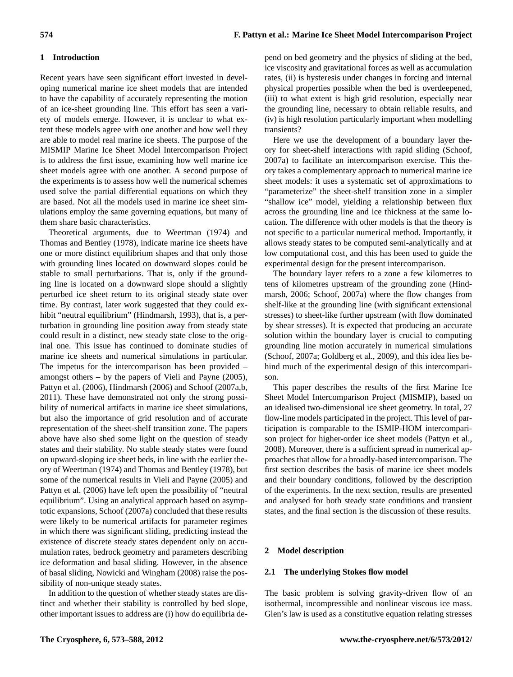### **1 Introduction**

Recent years have seen significant effort invested in developing numerical marine ice sheet models that are intended to have the capability of accurately representing the motion of an ice-sheet grounding line. This effort has seen a variety of models emerge. However, it is unclear to what extent these models agree with one another and how well they are able to model real marine ice sheets. The purpose of the MISMIP Marine Ice Sheet Model Intercomparison Project is to address the first issue, examining how well marine ice sheet models agree with one another. A second purpose of the experiments is to assess how well the numerical schemes used solve the partial differential equations on which they are based. Not all the models used in marine ice sheet simulations employ the same governing equations, but many of them share basic characteristics.

Theoretical arguments, due to [Weertman \(1974\)](#page-16-0) and [Thomas and Bentley \(1978\)](#page-16-1), indicate marine ice sheets have one or more distinct equilibrium shapes and that only those with grounding lines located on downward slopes could be stable to small perturbations. That is, only if the grounding line is located on a downward slope should a slightly perturbed ice sheet return to its original steady state over time. By contrast, later work suggested that they could ex-hibit "neutral equilibrium" [\(Hindmarsh, 1993\)](#page-15-0), that is, a perturbation in grounding line position away from steady state could result in a distinct, new steady state close to the original one. This issue has continued to dominate studies of marine ice sheets and numerical simulations in particular. The impetus for the intercomparison has been provided – amongst others – by the papers of [Vieli and Payne](#page-16-2) [\(2005\)](#page-16-2), [Pattyn et al. \(2006\)](#page-16-3), [Hindmarsh \(2006\)](#page-15-1) and [Schoof \(2007a](#page-16-4)[,b,](#page-16-5) [2011\)](#page-16-6). These have demonstrated not only the strong possibility of numerical artifacts in marine ice sheet simulations, but also the importance of grid resolution and of accurate representation of the sheet-shelf transition zone. The papers above have also shed some light on the question of steady states and their stability. No stable steady states were found on upward-sloping ice sheet beds, in line with the earlier theory of [Weertman \(1974\)](#page-16-0) and [Thomas and Bentley \(1978\)](#page-16-1), but some of the numerical results in [Vieli and Payne \(2005\)](#page-16-2) and [Pattyn et al. \(2006\)](#page-16-3) have left open the possibility of "neutral equilibrium". Using an analytical approach based on asymptotic expansions, [Schoof](#page-16-4) [\(2007a\)](#page-16-4) concluded that these results were likely to be numerical artifacts for parameter regimes in which there was significant sliding, predicting instead the existence of discrete steady states dependent only on accumulation rates, bedrock geometry and parameters describing ice deformation and basal sliding. However, in the absence of basal sliding, [Nowicki and Wingham \(2008\)](#page-15-2) raise the possibility of non-unique steady states.

In addition to the question of whether steady states are distinct and whether their stability is controlled by bed slope, other important issues to address are (i) how do equilibria depend on bed geometry and the physics of sliding at the bed, ice viscosity and gravitational forces as well as accumulation rates, (ii) is hysteresis under changes in forcing and internal physical properties possible when the bed is overdeepened, (iii) to what extent is high grid resolution, especially near the grounding line, necessary to obtain reliable results, and (iv) is high resolution particularly important when modelling transients?

Here we use the development of a boundary layer theory for sheet-shelf interactions with rapid sliding [\(Schoof,](#page-16-4) [2007a\)](#page-16-4) to facilitate an intercomparison exercise. This theory takes a complementary approach to numerical marine ice sheet models: it uses a systematic set of approximations to "parameterize" the sheet-shelf transition zone in a simpler "shallow ice" model, yielding a relationship between flux across the grounding line and ice thickness at the same location. The difference with other models is that the theory is not specific to a particular numerical method. Importantly, it allows steady states to be computed semi-analytically and at low computational cost, and this has been used to guide the experimental design for the present intercomparison.

The boundary layer refers to a zone a few kilometres to tens of kilometres upstream of the grounding zone [\(Hind](#page-15-1)[marsh, 2006;](#page-15-1) [Schoof, 2007a\)](#page-16-4) where the flow changes from shelf-like at the grounding line (with significant extensional stresses) to sheet-like further upstream (with flow dominated by shear stresses). It is expected that producing an accurate solution within the boundary layer is crucial to computing grounding line motion accurately in numerical simulations [\(Schoof, 2007a;](#page-16-4) [Goldberg et al., 2009\)](#page-15-3), and this idea lies behind much of the experimental design of this intercomparison.

This paper describes the results of the first Marine Ice Sheet Model Intercomparison Project (MISMIP), based on an idealised two-dimensional ice sheet geometry. In total, 27 flow-line models participated in the project. This level of participation is comparable to the ISMIP-HOM intercomparison project for higher-order ice sheet models [\(Pattyn et al.,](#page-16-7) [2008\)](#page-16-7). Moreover, there is a sufficient spread in numerical approaches that allow for a broadly-based intercomparison. The first section describes the basis of marine ice sheet models and their boundary conditions, followed by the description of the experiments. In the next section, results are presented and analysed for both steady state conditions and transient states, and the final section is the discussion of these results.

#### **2 Model description**

#### **2.1 The underlying Stokes flow model**

The basic problem is solving gravity-driven flow of an isothermal, incompressible and nonlinear viscous ice mass. Glen's law is used as a constitutive equation relating stresses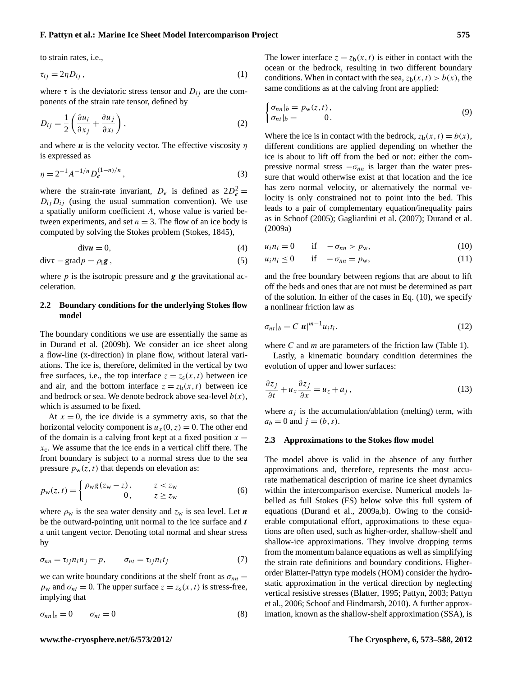#### **F. Pattyn et al.: Marine Ice Sheet Model Intercomparison Project 575**

to strain rates, i.e.,

$$
\tau_{ij} = 2\eta D_{ij},\tag{1}
$$

where  $\tau$  is the deviatoric stress tensor and  $D_{ij}$  are the components of the strain rate tensor, defined by

$$
D_{ij} = \frac{1}{2} \left( \frac{\partial u_i}{\partial x_j} + \frac{\partial u_j}{\partial x_i} \right),\tag{2}
$$

and where  $u$  is the velocity vector. The effective viscosity  $\eta$ is expressed as

$$
\eta = 2^{-1} A^{-1/n} D_e^{(1-n)/n}, \qquad (3)
$$

where the strain-rate invariant,  $D_e$  is defined as  $2D_e^2 =$  $D_{ij} D_{ij}$  (using the usual summation convention). We use a spatially uniform coefficient A, whose value is varied between experiments, and set  $n = 3$ . The flow of an ice body is computed by solving the Stokes problem [\(Stokes, 1845\)](#page-16-8),

<span id="page-3-3"></span>
$$
\text{div}\mathbf{u} = 0,\tag{4}
$$

$$
\operatorname{div} \tau - \operatorname{grad} p = \rho_{i} \mathbf{g}, \qquad (5)
$$

where  $p$  is the isotropic pressure and  $g$  the gravitational acceleration.

#### **2.2 Boundary conditions for the underlying Stokes flow model**

The boundary conditions we use are essentially the same as in [Durand et al. \(2009b\)](#page-15-4). We consider an ice sheet along a flow-line (x-direction) in plane flow, without lateral variations. The ice is, therefore, delimited in the vertical by two free surfaces, i.e., the top interface  $z = z_s(x, t)$  between ice and air, and the bottom interface  $z = z<sub>b</sub>(x,t)$  between ice and bedrock or sea. We denote bedrock above sea-level  $b(x)$ , which is assumed to be fixed.

At  $x = 0$ , the ice divide is a symmetry axis, so that the horizontal velocity component is  $u_x(0, z) = 0$ . The other end of the domain is a calving front kept at a fixed position  $x =$  $x_c$ . We assume that the ice ends in a vertical cliff there. The front boundary is subject to a normal stress due to the sea pressure  $p_w(z, t)$  that depends on elevation as:

$$
p_{\mathbf{w}}(z,t) = \begin{cases} \rho_{\mathbf{w}} g(z_{\mathbf{w}} - z), & z < z_{\mathbf{w}} \\ 0, & z \ge z_{\mathbf{w}} \end{cases}
$$
 (6)

where  $\rho_w$  is the sea water density and  $z_w$  is sea level. Let **n** be the outward-pointing unit normal to the ice surface and  $t$ a unit tangent vector. Denoting total normal and shear stress by

$$
\sigma_{nn} = \tau_{ij} n_i n_j - p, \qquad \sigma_{nt} = \tau_{ij} n_i t_j \tag{7}
$$

<span id="page-3-1"></span>we can write boundary conditions at the shelf front as  $\sigma_{nn} =$  $p_w$  and  $\sigma_{nt} = 0$ . The upper surface  $z = z_s(x, t)$  is stress-free, implying that

$$
\sigma_{nn}|_s = 0 \qquad \sigma_{nt} = 0 \tag{8}
$$

The lower interface  $z = z<sub>b</sub>(x,t)$  is either in contact with the ocean or the bedrock, resulting in two different boundary conditions. When in contact with the sea,  $z<sub>b</sub>(x, t) > b(x)$ , the same conditions as at the calving front are applied:

$$
\begin{cases} \sigma_{nn}|_b = p_{\rm w}(z, t), \\ \sigma_{nt}|_b = 0. \end{cases} \tag{9}
$$

Where the ice is in contact with the bedrock,  $z_b(x, t) = b(x)$ , different conditions are applied depending on whether the ice is about to lift off from the bed or not: either the compressive normal stress  $-\sigma_{nn}$  is larger than the water pressure that would otherwise exist at that location and the ice has zero normal velocity, or alternatively the normal velocity is only constrained not to point into the bed. This leads to a pair of complementary equation/inequality pairs as in [Schoof](#page-16-9) [\(2005\)](#page-16-9); [Gagliardini et al.](#page-15-5) [\(2007\)](#page-15-5); [Durand et al.](#page-15-6) [\(2009a\)](#page-15-6)

<span id="page-3-0"></span>
$$
u_i n_i = 0 \t\t \text{if} \t -\sigma_{nn} > p_w,\t\t (10)
$$

$$
u_i n_i \le 0 \qquad \text{if} \quad -\sigma_{nn} = p_w,\tag{11}
$$

and the free boundary between regions that are about to lift off the beds and ones that are not must be determined as part of the solution. In either of the cases in Eq. [\(10\)](#page-3-0), we specify a nonlinear friction law as

$$
\sigma_{nt}|_b = C |u|^{m-1} u_i t_i. \tag{12}
$$

where  $C$  and  $m$  are parameters of the friction law (Table [1\)](#page-4-0).

<span id="page-3-2"></span>Lastly, a kinematic boundary condition determines the evolution of upper and lower surfaces:

$$
\frac{\partial z_j}{\partial t} + u_x \frac{\partial z_j}{\partial x} = u_z + a_j, \qquad (13)
$$

where  $a_j$  is the accumulation/ablation (melting) term, with  $a_b = 0$  and  $j = (b, s)$ .

#### **2.3 Approximations to the Stokes flow model**

The model above is valid in the absence of any further approximations and, therefore, represents the most accurate mathematical description of marine ice sheet dynamics within the intercomparison exercise. Numerical models labelled as full Stokes (FS) below solve this full system of equations [\(Durand et al., 2009a](#page-15-6)[,b\)](#page-15-4). Owing to the considerable computational effort, approximations to these equations are often used, such as higher-order, shallow-shelf and shallow-ice approximations. They involve dropping terms from the momentum balance equations as well as simplifying the strain rate definitions and boundary conditions. Higherorder Blatter-Pattyn type models (HOM) consider the hydrostatic approximation in the vertical direction by neglecting vertical resistive stresses [\(Blatter, 1995;](#page-15-7) [Pattyn, 2003;](#page-16-10) [Pattyn](#page-16-3) [et al., 2006;](#page-16-3) [Schoof and Hindmarsh, 2010\)](#page-16-11). A further approximation, known as the shallow-shelf approximation (SSA), is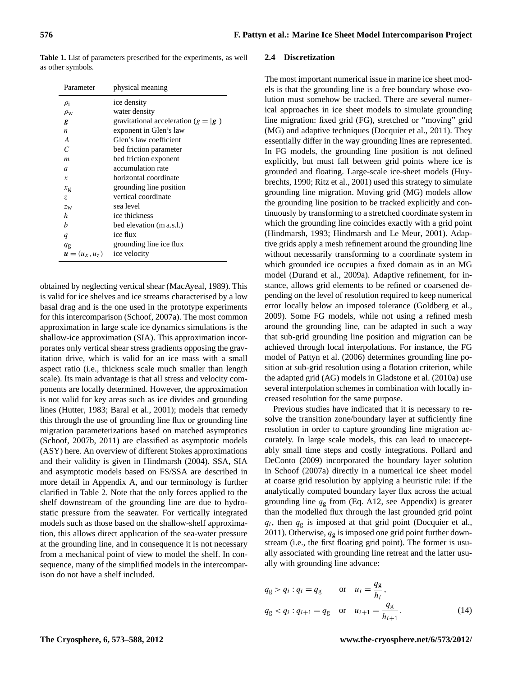<span id="page-4-0"></span>**Table 1.** List of parameters prescribed for the experiments, as well as other symbols.

| Parameter        | physical meaning                       |
|------------------|----------------------------------------|
| $\rho_i$         | ice density                            |
| $\rho_{\rm w}$   | water density                          |
| g                | gravitational acceleration $(g =  g )$ |
| $\boldsymbol{n}$ | exponent in Glen's law                 |
| A                | Glen's law coefficient                 |
| C                | bed friction parameter                 |
| $\boldsymbol{m}$ | bed friction exponent                  |
| $\overline{a}$   | accumulation rate                      |
| $\boldsymbol{x}$ | horizontal coordinate                  |
| $x_{\rm g}$      | grounding line position                |
| Z.               | vertical coordinate                    |
| $z_{\rm w}$      | sea level                              |
| h                | ice thickness                          |
| h                | bed elevation (m a.s.l.)               |
| $\boldsymbol{q}$ | ice flux                               |
| $q_{\rm g}$      | grounding line ice flux                |
| $u=(u_x,u_z)$    | ice velocity                           |

obtained by neglecting vertical shear [\(MacAyeal, 1989\)](#page-15-8). This is valid for ice shelves and ice streams characterised by a low basal drag and is the one used in the prototype experiments for this intercomparison [\(Schoof, 2007a\)](#page-16-4). The most common approximation in large scale ice dynamics simulations is the shallow-ice approximation (SIA). This approximation incorporates only vertical shear stress gradients opposing the gravitation drive, which is valid for an ice mass with a small aspect ratio (i.e., thickness scale much smaller than length scale). Its main advantage is that all stress and velocity components are locally determined. However, the approximation is not valid for key areas such as ice divides and grounding lines [\(Hutter, 1983;](#page-15-9) [Baral et al., 2001\)](#page-15-10); models that remedy this through the use of grounding line flux or grounding line migration parameterizations based on matched asymptotics [\(Schoof, 2007b,](#page-16-5) [2011\)](#page-16-6) are classified as asymptotic models (ASY) here. An overview of different Stokes approximations and their validity is given in [Hindmarsh](#page-15-11) [\(2004\)](#page-15-11). SSA, SIA and asymptotic models based on FS/SSA are described in more detail in Appendix [A,](#page-13-0) and our terminology is further clarified in Table [2.](#page-5-0) Note that the only forces applied to the shelf downstream of the grounding line are due to hydrostatic pressure from the seawater. For vertically integrated models such as those based on the shallow-shelf approximation, this allows direct application of the sea-water pressure at the grounding line, and in consequence it is not necessary from a mechanical point of view to model the shelf. In consequence, many of the simplified models in the intercomparison do not have a shelf included.

#### **2.4 Discretization**

The most important numerical issue in marine ice sheet models is that the grounding line is a free boundary whose evolution must somehow be tracked. There are several numerical approaches in ice sheet models to simulate grounding line migration: fixed grid (FG), stretched or "moving" grid (MG) and adaptive techniques [\(Docquier et al., 2011\)](#page-15-12). They essentially differ in the way grounding lines are represented. In FG models, the grounding line position is not defined explicitly, but must fall between grid points where ice is grounded and floating. Large-scale ice-sheet models [\(Huy](#page-15-13)[brechts, 1990;](#page-15-13) [Ritz et al., 2001\)](#page-16-12) used this strategy to simulate grounding line migration. Moving grid (MG) models allow the grounding line position to be tracked explicitly and continuously by transforming to a stretched coordinate system in which the grounding line coincides exactly with a grid point [\(Hindmarsh, 1993;](#page-15-0) [Hindmarsh and Le Meur, 2001\)](#page-15-14). Adaptive grids apply a mesh refinement around the grounding line without necessarily transforming to a coordinate system in which grounded ice occupies a fixed domain as in an MG model [\(Durand et al., 2009a\)](#page-15-6). Adaptive refinement, for instance, allows grid elements to be refined or coarsened depending on the level of resolution required to keep numerical error locally below an imposed tolerance [\(Goldberg et al.,](#page-15-3) [2009\)](#page-15-3). Some FG models, while not using a refined mesh around the grounding line, can be adapted in such a way that sub-grid grounding line position and migration can be achieved through local interpolations. For instance, the FG model of [Pattyn et al. \(2006\)](#page-16-3) determines grounding line position at sub-grid resolution using a flotation criterion, while the adapted grid (AG) models in [Gladstone et al. \(2010a\)](#page-15-15) use several interpolation schemes in combination with locally increased resolution for the same purpose.

Previous studies have indicated that it is necessary to resolve the transition zone/boundary layer at sufficiently fine resolution in order to capture grounding line migration accurately. In large scale models, this can lead to unacceptably small time steps and costly integrations. [Pollard and](#page-16-13) [DeConto \(2009\)](#page-16-13) incorporated the boundary layer solution in [Schoof \(2007a\)](#page-16-4) directly in a numerical ice sheet model at coarse grid resolution by applying a heuristic rule: if the analytically computed boundary layer flux across the actual grounding line  $q_g$  from (Eq. [A12,](#page-14-0) see Appendix) is greater than the modelled flux through the last grounded grid point  $q_i$ , then  $q_g$  is imposed at that grid point [\(Docquier et al.,](#page-15-12) [2011\)](#page-15-12). Otherwise,  $q<sub>g</sub>$  is imposed one grid point further downstream (i.e., the first floating grid point). The former is usually associated with grounding line retreat and the latter usually with grounding line advance:

<span id="page-4-1"></span>
$$
q_g > q_i : q_i = q_g
$$
 or  $u_i = \frac{q_g}{h_i}$ ,  
\n $q_g < q_i : q_{i+1} = q_g$  or  $u_{i+1} = \frac{q_g}{h_{i+1}}$ . (14)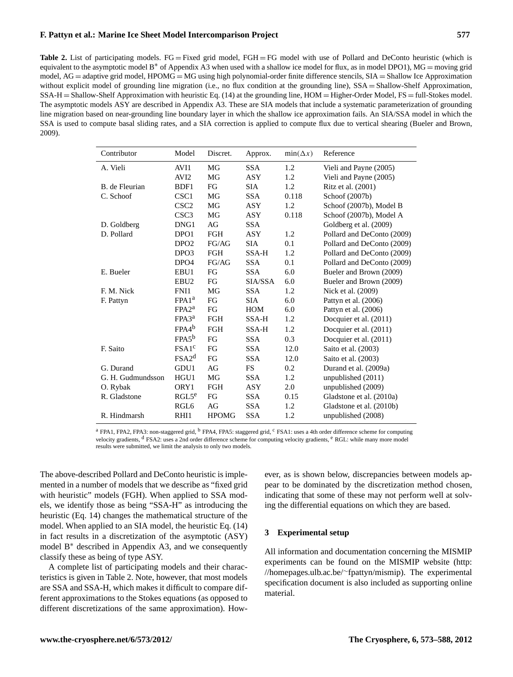<span id="page-5-0"></span>**Table 2.** List of participating models. FG = Fixed grid model, FGH = FG model with use of [Pollard and DeConto](#page-16-13) heuristic (which is equivalent to the asymptotic model B<sup>\*</sup> of Appendix [A3](#page-14-1) when used with a shallow ice model for flux, as in model DPO1), MG = moving grid model,  $AG =$  adaptive grid model,  $HPOMG = MG$  using high polynomial-order finite difference stencils,  $SIA =$  Shallow Ice Approximation without explicit model of grounding line migration (i.e., no flux condition at the grounding line), SSA = Shallow-Shelf Approximation, SSA-H = Shallow-Shelf Approximation with heuristic Eq. [\(14\)](#page-4-1) at the grounding line, HOM = Higher-Order Model, FS = full-Stokes model. The asymptotic models ASY are described in Appendix [A3.](#page-14-1) These are SIA models that include a systematic parameterization of grounding line migration based on near-grounding line boundary layer in which the shallow ice approximation fails. An SIA/SSA model in which the SSA is used to compute basal sliding rates, and a SIA correction is applied to compute flux due to vertical shearing [\(Bueler and Brown,](#page-15-16) [2009\)](#page-15-16).

| Contributor       | Model             | Discret.     | Approx.    | $min(\Delta x)$ | Reference                  |
|-------------------|-------------------|--------------|------------|-----------------|----------------------------|
| A. Vieli          | AVI1              | MG           | <b>SSA</b> | 1.2             | Vieli and Payne (2005)     |
|                   | AVI <sub>2</sub>  | MG           | <b>ASY</b> | 1.2             | Vieli and Payne (2005)     |
| B. de Fleurian    | BDF1              | FG           | <b>SIA</b> | 1.2             | Ritz et al. (2001)         |
| C. Schoof         | CSC <sub>1</sub>  | MG           | <b>SSA</b> | 0.118           | Schoof (2007b)             |
|                   | CSC <sub>2</sub>  | MG           | <b>ASY</b> | 1.2             | Schoof (2007b), Model B    |
|                   | CSC <sub>3</sub>  | MG           | <b>ASY</b> | 0.118           | Schoof (2007b), Model A    |
| D. Goldberg       | DNG1              | AG           | <b>SSA</b> |                 | Goldberg et al. (2009)     |
| D. Pollard        | DPO <sub>1</sub>  | FGH          | ASY        | 1.2             | Pollard and DeConto (2009) |
|                   | DPO <sub>2</sub>  | FG/AG        | <b>SIA</b> | 0.1             | Pollard and DeConto (2009) |
|                   | DPO <sub>3</sub>  | <b>FGH</b>   | SSA-H      | 1.2             | Pollard and DeConto (2009) |
|                   | DPO <sub>4</sub>  | FG/AG        | <b>SSA</b> | 0.1             | Pollard and DeConto (2009) |
| E. Bueler         | EBU1              | FG           | <b>SSA</b> | 6.0             | Bueler and Brown (2009)    |
|                   | EBU <sub>2</sub>  | FG           | SIA/SSA    | 6.0             | Bueler and Brown (2009)    |
| F. M. Nick        | FNI1              | MG           | <b>SSA</b> | 1.2             | Nick et al. (2009)         |
| F. Pattyn         | FPA1 <sup>a</sup> | FG           | <b>SIA</b> | 6.0             | Pattyn et al. $(2006)$     |
|                   | FPA2 <sup>a</sup> | FG           | <b>HOM</b> | 6.0             | Pattyn et al. $(2006)$     |
|                   | $FPA3^a$          | <b>FGH</b>   | SSA-H      | 1.2             | Docquier et al. (2011)     |
|                   | $FPA4^b$          | <b>FGH</b>   | SSA-H      | 1.2             | Docquier et al. (2011)     |
|                   | $FPA5^b$          | FG           | <b>SSA</b> | 0.3             | Docquier et al. (2011)     |
| F. Saito          | FSA1 <sup>c</sup> | FG           | <b>SSA</b> | 12.0            | Saito et al. (2003)        |
|                   | FSA2 <sup>d</sup> | FG           | <b>SSA</b> | 12.0            | Saito et al. (2003)        |
| G. Durand         | GDU1              | AG           | <b>FS</b>  | 0.2             | Durand et al. (2009a)      |
| G. H. Gudmundsson | HGU1              | MG           | <b>SSA</b> | 1.2             | unpublished (2011)         |
| O. Rybak          | ORY1              | <b>FGH</b>   | <b>ASY</b> | 2.0             | unpublished (2009)         |
| R. Gladstone      | RGL5 <sup>e</sup> | FG           | <b>SSA</b> | 0.15            | Gladstone et al. (2010a)   |
|                   | RGL <sub>6</sub>  | AG           | <b>SSA</b> | 1.2             | Gladstone et al. (2010b)   |
| R. Hindmarsh      | RHI1              | <b>HPOMG</b> | <b>SSA</b> | 1.2             | unpublished (2008)         |

<sup>&</sup>lt;sup>a</sup> FPA1, FPA2, FPA3: non-staggered grid, <sup>b</sup> FPA4, FPA5: staggered grid, <sup>c</sup> FSA1: uses a 4th order difference scheme for computing velocity gradients, <sup>d</sup> FSA2: uses a 2nd order difference scheme for computing velocity gradients, <sup>e</sup> RGL: while many more model results were submitted, we limit the analysis to only two models.

The above-described [Pollard and DeConto](#page-16-13) heuristic is implemented in a number of models that we describe as "fixed grid with heuristic" models (FGH). When applied to SSA models, we identify those as being "SSA-H" as introducing the heuristic (Eq. [14\)](#page-4-1) changes the mathematical structure of the model. When applied to an SIA model, the heuristic Eq. [\(14\)](#page-4-1) in fact results in a discretization of the asymptotic (ASY) model B<sup>∗</sup> described in Appendix [A3,](#page-14-1) and we consequently classify these as being of type ASY.

A complete list of participating models and their characteristics is given in Table [2.](#page-5-0) Note, however, that most models are SSA and SSA-H, which makes it difficult to compare different approximations to the Stokes equations (as opposed to different discretizations of the same approximation). However, as is shown below, discrepancies between models appear to be dominated by the discretization method chosen, indicating that some of these may not perform well at solving the differential equations on which they are based.

#### **3 Experimental setup**

All information and documentation concerning the MISMIP experiments can be found on the MISMIP website [\(http:](http://homepages.ulb.ac.be/~fpattyn/mismip) [//homepages.ulb.ac.be/](http://homepages.ulb.ac.be/~fpattyn/mismip)∼fpattyn/mismip). The experimental specification document is also included as supporting online material.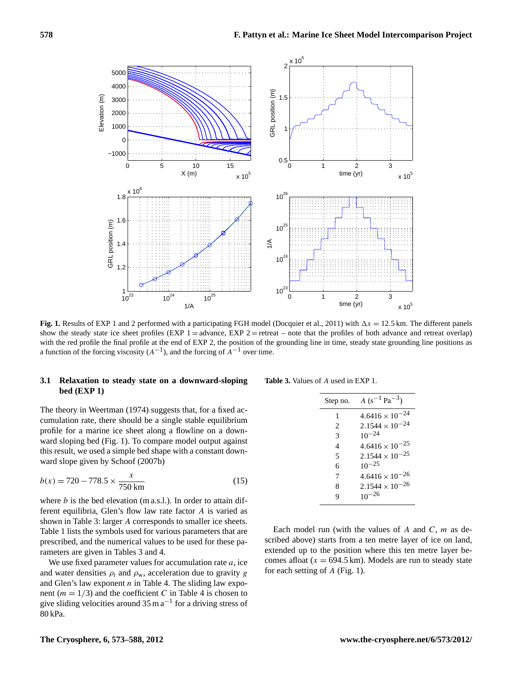

<span id="page-6-0"></span>**Fig. 1.** Results of EXP 1 and 2 performed with a participating FGH model [\(Docquier et al., 2011\)](#page-15-12) with  $\Delta x = 12.5$  km. The different panels show the steady state ice sheet profiles (EXP  $1 =$  advance, EXP  $2 =$  retreat – note that the profiles of both advance and retreat overlap) with the red profile the final profile at the end of EXP 2, the position of the grounding line in time, steady state grounding line positions as a function of the forcing viscosity  $(A^{-1})$ , and the forcing of  $A^{-1}$  over time.

#### **3.1 Relaxation to steady state on a downward-sloping bed (EXP 1)**

**Table 3.** Values of A used in EXP 1.

The theory in [Weertman](#page-16-0) [\(1974\)](#page-16-0) suggests that, for a fixed accumulation rate, there should be a single stable equilibrium profile for a marine ice sheet along a flowline on a downward sloping bed (Fig. [1\)](#page-6-0). To compare model output against this result, we used a simple bed shape with a constant downward slope given by [Schoof \(2007b\)](#page-16-5)

$$
b(x) = 720 - 778.5 \times \frac{x}{750 \text{ km}}
$$
 (15)

where  $b$  is the bed elevation (m a.s.l.). In order to attain different equilibria, Glen's flow law rate factor A is varied as shown in Table [3:](#page-6-1) larger A corresponds to smaller ice sheets. Table [1](#page-4-0) lists the symbols used for various parameters that are prescribed, and the numerical values to be used for these parameters are given in Tables [3](#page-6-1) and [4.](#page-7-0)

We use fixed parameter values for accumulation rate  $a$ , ice and water densities  $\rho_i$  and  $\rho_w$ , acceleration due to gravity g and Glen's law exponent  $n$  in Table [4.](#page-7-0) The sliding law exponent ( $m = 1/3$ ) and the coefficient C in Table [4](#page-7-0) is chosen to give sliding velocities around  $35 \text{ m a}^{-1}$  for a driving stress of 80 kPa.

<span id="page-6-1"></span>

| Step no.       | $A (s^{-1} Pa^{-3})$     |
|----------------|--------------------------|
| 1              | $4.6416 \times 10^{-24}$ |
| $\mathfrak{D}$ | $2.1544 \times 10^{-24}$ |
| 3              | $10^{-24}$               |
| 4              | $4.6416 \times 10^{-25}$ |
| 5              | $2.1544 \times 10^{-25}$ |
| 6              | $10^{-25}$               |
| 7              | $4.6416 \times 10^{-26}$ |
| 8              | $2.1544 \times 10^{-26}$ |
| q              | $10^{-26}$               |
|                |                          |

Each model run (with the values of A and  $C$ ,  $m$  as described above) starts from a ten metre layer of ice on land, extended up to the position where this ten metre layer becomes afloat ( $x = 694.5$  km). Models are run to steady state for each setting of A (Fig. [1\)](#page-6-0).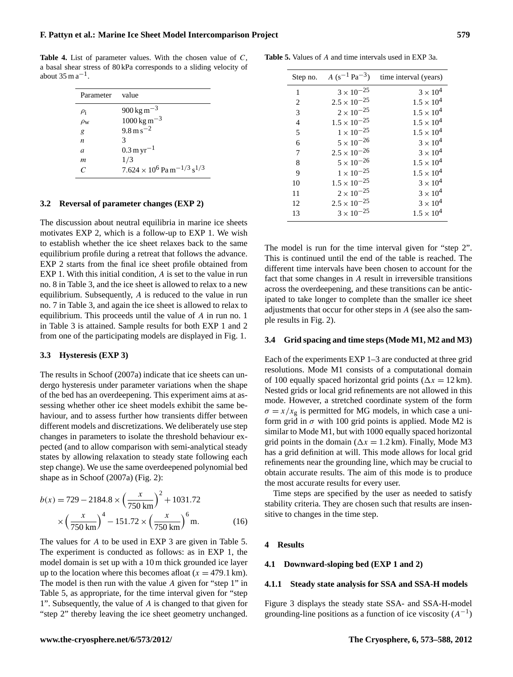<span id="page-7-0"></span>**Table 4.** List of parameter values. With the chosen value of C, a basal shear stress of 80 kPa corresponds to a sliding velocity of about  $35 \text{ m a}^{-1}$ .

| Parameter value  |                                                           |
|------------------|-----------------------------------------------------------|
| $\rho_i$         | $900 \,\mathrm{kg} \,\mathrm{m}^{-3}$                     |
| $\rho_{\rm W}$   | $1000 \,\mathrm{kg} \,\mathrm{m}^{-3}$                    |
| g                | $9.8 \,\mathrm{m\,s}^{-2}$                                |
| n                | 3                                                         |
| $\mathfrak{a}$   | $0.3 \,\mathrm{m}\,\mathrm{yr}^{-1}$                      |
| $\boldsymbol{m}$ | 1/3                                                       |
|                  | $7.624 \times 10^6$ Pa m <sup>-1/3</sup> s <sup>1/3</sup> |

#### **3.2 Reversal of parameter changes (EXP 2)**

The discussion about neutral equilibria in marine ice sheets motivates EXP 2, which is a follow-up to EXP 1. We wish to establish whether the ice sheet relaxes back to the same equilibrium profile during a retreat that follows the advance. EXP 2 starts from the final ice sheet profile obtained from EXP 1. With this initial condition, A is set to the value in run no. 8 in Table [3,](#page-6-1) and the ice sheet is allowed to relax to a new equilibrium. Subsequently, A is reduced to the value in run no. 7 in Table [3,](#page-6-1) and again the ice sheet is allowed to relax to equilibrium. This proceeds until the value of A in run no. 1 in Table [3](#page-6-1) is attained. Sample results for both EXP 1 and 2 from one of the participating models are displayed in Fig. [1.](#page-6-0)

#### **3.3 Hysteresis (EXP 3)**

The results in [Schoof \(2007a\)](#page-16-4) indicate that ice sheets can undergo hysteresis under parameter variations when the shape of the bed has an overdeepening. This experiment aims at assessing whether other ice sheet models exhibit the same behaviour, and to assess further how transients differ between different models and discretizations. We deliberately use step changes in parameters to isolate the threshold behaviour expected (and to allow comparison with semi-analytical steady states by allowing relaxation to steady state following each step change). We use the same overdeepened polynomial bed shape as in [Schoof](#page-16-4) [\(2007a\)](#page-16-4) (Fig. [2\)](#page-8-0):

$$
b(x) = 729 - 2184.8 \times \left(\frac{x}{750 \text{ km}}\right)^2 + 1031.72
$$

$$
\times \left(\frac{x}{750 \text{ km}}\right)^4 - 151.72 \times \left(\frac{x}{750 \text{ km}}\right)^6 \text{m.}
$$
(16)

The values for A to be used in EXP 3 are given in Table [5.](#page-7-1) The experiment is conducted as follows: as in EXP 1, the model domain is set up with a 10 m thick grounded ice layer up to the location where this becomes afloat  $(x = 479.1 \text{ km})$ . The model is then run with the value A given for "step 1" in Table [5,](#page-7-1) as appropriate, for the time interval given for "step 1". Subsequently, the value of A is changed to that given for "step 2" thereby leaving the ice sheet geometry unchanged.

**Table 5.** Values of A and time intervals used in EXP 3a.

<span id="page-7-1"></span>

| Step no.       | $A (s^{-1} Pa^{-3})$  | time interval (years) |
|----------------|-----------------------|-----------------------|
| 1              | $3 \times 10^{-25}$   | $3 \times 10^4$       |
| 2              | $2.5 \times 10^{-25}$ | $1.5 \times 10^{4}$   |
| 3              | $2 \times 10^{-25}$   | $1.5 \times 10^{4}$   |
| 4              | $1.5 \times 10^{-25}$ | $1.5 \times 10^{4}$   |
| 5              | $1\times10^{-25}$     | $1.5 \times 10^{4}$   |
| 6              | $5 \times 10^{-26}$   | $3 \times 10^4$       |
| $\overline{7}$ | $2.5 \times 10^{-26}$ | $3 \times 10^4$       |
| 8              | $5 \times 10^{-26}$   | $1.5 \times 10^{4}$   |
| 9              | $1\times10^{-25}$     | $1.5 \times 10^{4}$   |
| 10             | $1.5 \times 10^{-25}$ | $3 \times 10^4$       |
| 11             | $2\times10^{-25}$     | $3 \times 10^4$       |
| 12             | $2.5 \times 10^{-25}$ | $3 \times 10^4$       |
| 13             | $3 \times 10^{-25}$   | $1.5 \times 10^{4}$   |

The model is run for the time interval given for "step 2". This is continued until the end of the table is reached. The different time intervals have been chosen to account for the fact that some changes in A result in irreversible transitions across the overdeepening, and these transitions can be anticipated to take longer to complete than the smaller ice sheet adjustments that occur for other steps in A (see also the sample results in Fig. [2\)](#page-8-0).

#### **3.4 Grid spacing and time steps (Mode M1, M2 and M3)**

Each of the experiments EXP 1–3 are conducted at three grid resolutions. Mode M1 consists of a computational domain of 100 equally spaced horizontal grid points ( $\Delta x = 12$  km). Nested grids or local grid refinements are not allowed in this mode. However, a stretched coordinate system of the form  $\sigma = x/x_{\rm g}$  is permitted for MG models, in which case a uniform grid in  $\sigma$  with 100 grid points is applied. Mode M2 is similar to Mode M1, but with 1000 equally spaced horizontal grid points in the domain ( $\Delta x = 1.2$  km). Finally, Mode M3 has a grid definition at will. This mode allows for local grid refinements near the grounding line, which may be crucial to obtain accurate results. The aim of this mode is to produce the most accurate results for every user.

Time steps are specified by the user as needed to satisfy stability criteria. They are chosen such that results are insensitive to changes in the time step.

#### **4 Results**

#### <span id="page-7-2"></span>**4.1 Downward-sloping bed (EXP 1 and 2)**

#### **4.1.1 Steady state analysis for SSA and SSA-H models**

Figure [3](#page-9-0) displays the steady state SSA- and SSA-H-model grounding-line positions as a function of ice viscosity  $(A^{-1})$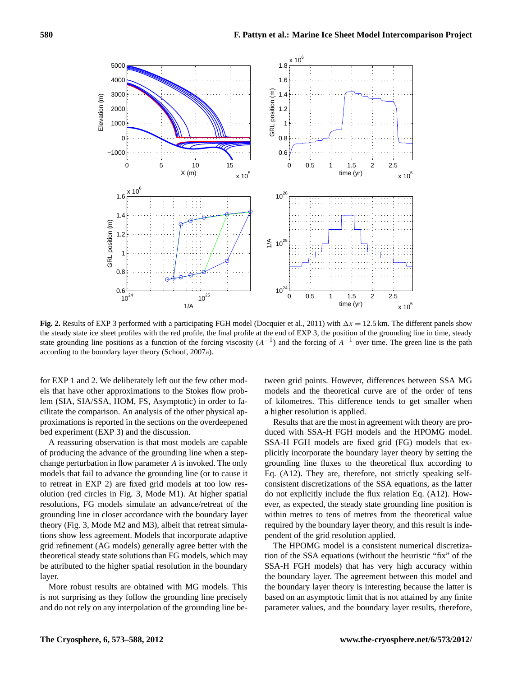

<span id="page-8-0"></span>**Fig. 2.** Results of EXP 3 performed with a participating FGH model [\(Docquier et al., 2011\)](#page-15-12) with  $\Delta x = 12.5$  km. The different panels show the steady state ice sheet profiles with the red profile, the final profile at the end of EXP 3, the position of the grounding line in time, steady state grounding line positions as a function of the forcing viscosity  $(A^{-1})$  and the forcing of  $A^{-1}$  over time. The green line is the path according to the boundary layer theory [\(Schoof, 2007a\)](#page-16-4).

for EXP 1 and 2. We deliberately left out the few other models that have other approximations to the Stokes flow problem (SIA, SIA/SSA, HOM, FS, Asymptotic) in order to facilitate the comparison. An analysis of the other physical approximations is reported in the sections on the overdeepened bed experiment (EXP 3) and the discussion.

A reassuring observation is that most models are capable of producing the advance of the grounding line when a stepchange perturbation in flow parameter A is invoked. The only models that fail to advance the grounding line (or to cause it to retreat in EXP 2) are fixed grid models at too low resolution (red circles in Fig. [3,](#page-9-0) Mode M1). At higher spatial resolutions, FG models simulate an advance/retreat of the grounding line in closer accordance with the boundary layer theory (Fig. [3,](#page-9-0) Mode M2 and M3), albeit that retreat simulations show less agreement. Models that incorporate adaptive grid refinement (AG models) generally agree better with the theoretical steady state solutions than FG models, which may be attributed to the higher spatial resolution in the boundary layer.

More robust results are obtained with MG models. This is not surprising as they follow the grounding line precisely and do not rely on any interpolation of the grounding line between grid points. However, differences between SSA MG models and the theoretical curve are of the order of tens of kilometres. This difference tends to get smaller when a higher resolution is applied.

Results that are the most in agreement with theory are produced with SSA-H FGH models and the HPOMG model. SSA-H FGH models are fixed grid (FG) models that explicitly incorporate the boundary layer theory by setting the grounding line fluxes to the theoretical flux according to Eq. [\(A12\)](#page-14-0). They are, therefore, not strictly speaking selfconsistent discretizations of the SSA equations, as the latter do not explicitly include the flux relation Eq. [\(A12\)](#page-14-0). However, as expected, the steady state grounding line position is within metres to tens of metres from the theoretical value required by the boundary layer theory, and this result is independent of the grid resolution applied.

The HPOMG model is a consistent numerical discretization of the SSA equations (without the heuristic "fix" of the SSA-H FGH models) that has very high accuracy within the boundary layer. The agreement between this model and the boundary layer theory is interesting because the latter is based on an asymptotic limit that is not attained by any finite parameter values, and the boundary layer results, therefore,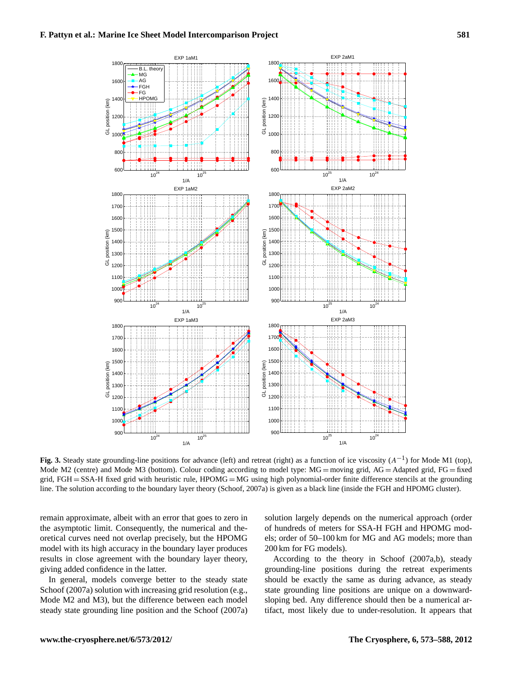

<span id="page-9-0"></span>Fig. 3. Steady state grounding-line positions for advance (left) and retreat (right) as a function of ice viscosity (A<sup>-1</sup>) for Mode M1 (top), Mode M2 (centre) and Mode M3 (bottom). Colour coding according to model type:  $MG =$  moving grid,  $AG =$  Adapted grid,  $FG =$  fixed grid, FGH = SSA-H fixed grid with heuristic rule,  $HPOMG = MG$  using high polynomial-order finite difference stencils at the grounding line. The solution according to the boundary layer theory [\(Schoof, 2007a\)](#page-16-4) is given as a black line (inside the FGH and HPOMG cluster).

remain approximate, albeit with an error that goes to zero in the asymptotic limit. Consequently, the numerical and theoretical curves need not overlap precisely, but the HPOMG model with its high accuracy in the boundary layer produces results in close agreement with the boundary layer theory, giving added confidence in the latter.

In general, models converge better to the steady state [Schoof \(2007a\)](#page-16-4) solution with increasing grid resolution (e.g., Mode M2 and M3), but the difference between each model steady state grounding line position and the [Schoof](#page-16-4) [\(2007a\)](#page-16-4)

solution largely depends on the numerical approach (order of hundreds of meters for SSA-H FGH and HPOMG models; order of 50–100 km for MG and AG models; more than 200 km for FG models).

According to the theory in [Schoof \(2007a,](#page-16-4)[b\)](#page-16-5), steady grounding-line positions during the retreat experiments should be exactly the same as during advance, as steady state grounding line positions are unique on a downwardsloping bed. Any difference should then be a numerical artifact, most likely due to under-resolution. It appears that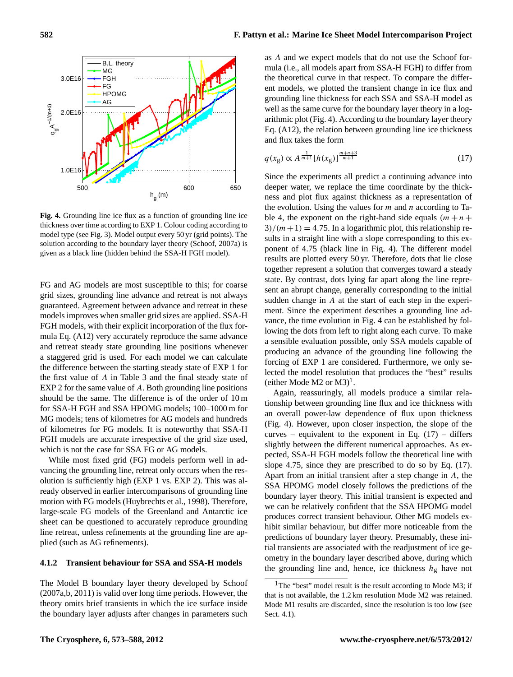500 600 650 1.0E16 2.0E16 h g (m)  $\mathrm{q} \mathrm{q}^{\mathrm{A}^{-1/(m+1)}}$ HPOMG AG **Fig. 4.** Grounding line ice flux as a function of grounding line ice

<span id="page-10-0"></span>thickness over time according to EXP 1. Colour coding according to model type (see Fig. [3\)](#page-9-0). Model output every 50 yr (grid points). The solution according to the boundary layer theory [\(Schoof, 2007a\)](#page-16-4) is given as a black line (hidden behind the SSA-H FGH model).

FG and AG models are most susceptible to this; for coarse grid sizes, grounding line advance and retreat is not always guaranteed. Agreement between advance and retreat in these models improves when smaller grid sizes are applied. SSA-H FGH models, with their explicit incorporation of the flux formula Eq. [\(A12\)](#page-14-0) very accurately reproduce the same advance and retreat steady state grounding line positions whenever a staggered grid is used. For each model we can calculate the difference between the starting steady state of EXP 1 for the first value of A in Table [3](#page-6-1) and the final steady state of EXP 2 for the same value of A. Both grounding line positions should be the same. The difference is of the order of 10 m for SSA-H FGH and SSA HPOMG models; 100–1000 m for MG models; tens of kilometres for AG models and hundreds of kilometres for FG models. It is noteworthy that SSA-H FGH models are accurate irrespective of the grid size used, which is not the case for SSA FG or AG models.

While most fixed grid (FG) models perform well in advancing the grounding line, retreat only occurs when the resolution is sufficiently high (EXP 1 vs. EXP 2). This was already observed in earlier intercomparisons of grounding line motion with FG models [\(Huybrechts et al., 1998\)](#page-15-19). Therefore, large-scale FG models of the Greenland and Antarctic ice sheet can be questioned to accurately reproduce grounding line retreat, unless refinements at the grounding line are applied (such as AG refinements).

#### **4.1.2 Transient behaviour for SSA and SSA-H models**

The Model B boundary layer theory developed by [Schoof](#page-16-4) [\(2007a,](#page-16-4)[b,](#page-16-5) [2011\)](#page-16-6) is valid over long time periods. However, the theory omits brief transients in which the ice surface inside the boundary layer adjusts after changes in parameters such

as A and we expect models that do not use the Schoof formula (i.e., all models apart from SSA-H FGH) to differ from the theoretical curve in that respect. To compare the different models, we plotted the transient change in ice flux and grounding line thickness for each SSA and SSA-H model as well as the same curve for the boundary layer theory in a logarithmic plot (Fig. [4\)](#page-10-0). According to the boundary layer theory Eq. [\(A12\)](#page-14-0), the relation between grounding line ice thickness and flux takes the form

<span id="page-10-2"></span>
$$
q(x_g) \propto A^{\frac{1}{m+1}} [h(x_g)]^{\frac{m+n+3}{m+1}}
$$
 (17)

Since the experiments all predict a continuing advance into deeper water, we replace the time coordinate by the thickness and plot flux against thickness as a representation of the evolution. Using the values for  $m$  and  $n$  according to Ta-ble [4,](#page-7-0) the exponent on the right-hand side equals  $(m + n +$  $3/(m+1) = 4.75$ . In a logarithmic plot, this relationship results in a straight line with a slope corresponding to this exponent of 4.75 (black line in Fig. [4\)](#page-10-0). The different model results are plotted every 50 yr. Therefore, dots that lie close together represent a solution that converges toward a steady state. By contrast, dots lying far apart along the line represent an abrupt change, generally corresponding to the initial sudden change in A at the start of each step in the experiment. Since the experiment describes a grounding line advance, the time evolution in Fig. [4](#page-10-0) can be established by following the dots from left to right along each curve. To make a sensible evaluation possible, only SSA models capable of producing an advance of the grounding line following the forcing of EXP 1 are considered. Furthermore, we only selected the model resolution that produces the "best" results (either Mode M2 or M3)<sup>[1](#page-10-1)</sup>.

Again, reassuringly, all models produce a similar relationship between grounding line flux and ice thickness with an overall power-law dependence of flux upon thickness (Fig. [4\)](#page-10-0). However, upon closer inspection, the slope of the curves – equivalent to the exponent in Eq.  $(17)$  – differs slightly between the different numerical approaches. As expected, SSA-H FGH models follow the theoretical line with slope 4.75, since they are prescribed to do so by Eq. [\(17\)](#page-10-2). Apart from an initial transient after a step change in A, the SSA HPOMG model closely follows the predictions of the boundary layer theory. This initial transient is expected and we can be relatively confident that the SSA HPOMG model produces correct transient behaviour. Other MG models exhibit similar behaviour, but differ more noticeable from the predictions of boundary layer theory. Presumably, these initial transients are associated with the readjustment of ice geometry in the boundary layer described above, during which the grounding line and, hence, ice thickness  $h<sub>g</sub>$  have not



<span id="page-10-1"></span><sup>&</sup>lt;sup>1</sup>The "best" model result is the result according to Mode M3; if that is not available, the 1.2 km resolution Mode M2 was retained. Mode M1 results are discarded, since the resolution is too low (see Sect. [4.1\)](#page-7-2).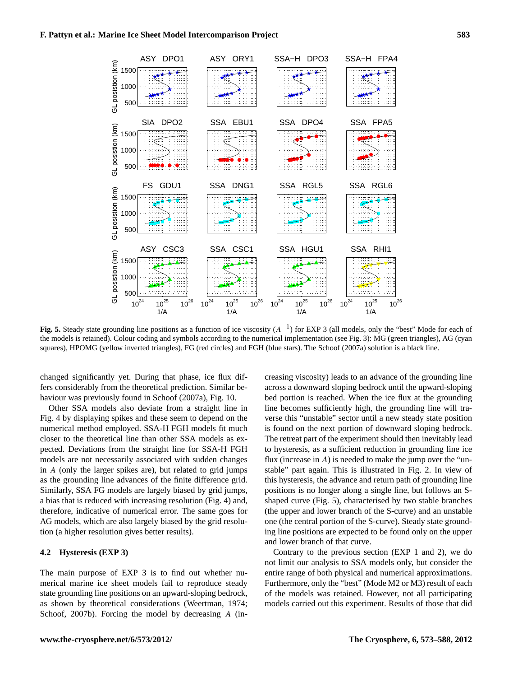

<span id="page-11-0"></span>Fig. 5. Steady state grounding line positions as a function of ice viscosity (A<sup>-1</sup>) for EXP 3 (all models, only the "best" Mode for each of the models is retained). Colour coding and symbols according to the numerical implementation (see Fig. [3\)](#page-9-0): MG (green triangles), AG (cyan squares), HPOMG (yellow inverted triangles), FG (red circles) and FGH (blue stars). The [Schoof \(2007a\)](#page-16-4) solution is a black line.

changed significantly yet. During that phase, ice flux differs considerably from the theoretical prediction. Similar behaviour was previously found in [Schoof \(2007a\)](#page-16-4), Fig. 10.

Other SSA models also deviate from a straight line in Fig. [4](#page-10-0) by displaying spikes and these seem to depend on the numerical method employed. SSA-H FGH models fit much closer to the theoretical line than other SSA models as expected. Deviations from the straight line for SSA-H FGH models are not necessarily associated with sudden changes in A (only the larger spikes are), but related to grid jumps as the grounding line advances of the finite difference grid. Similarly, SSA FG models are largely biased by grid jumps, a bias that is reduced with increasing resolution (Fig. [4\)](#page-10-0) and, therefore, indicative of numerical error. The same goes for AG models, which are also largely biased by the grid resolution (a higher resolution gives better results).

#### **4.2 Hysteresis (EXP 3)**

The main purpose of EXP 3 is to find out whether numerical marine ice sheet models fail to reproduce steady state grounding line positions on an upward-sloping bedrock, as shown by theoretical considerations [\(Weertman, 1974;](#page-16-0) [Schoof, 2007b\)](#page-16-5). Forcing the model by decreasing A (increasing viscosity) leads to an advance of the grounding line across a downward sloping bedrock until the upward-sloping bed portion is reached. When the ice flux at the grounding line becomes sufficiently high, the grounding line will traverse this "unstable" sector until a new steady state position is found on the next portion of downward sloping bedrock. The retreat part of the experiment should then inevitably lead to hysteresis, as a sufficient reduction in grounding line ice flux (increase in  $A$ ) is needed to make the jump over the "unstable" part again. This is illustrated in Fig. [2.](#page-8-0) In view of this hysteresis, the advance and return path of grounding line positions is no longer along a single line, but follows an Sshaped curve (Fig. [5\)](#page-11-0), characterised by two stable branches (the upper and lower branch of the S-curve) and an unstable one (the central portion of the S-curve). Steady state grounding line positions are expected to be found only on the upper and lower branch of that curve.

Contrary to the previous section (EXP 1 and 2), we do not limit our analysis to SSA models only, but consider the entire range of both physical and numerical approximations. Furthermore, only the "best" (Mode M2 or M3) result of each of the models was retained. However, not all participating models carried out this experiment. Results of those that did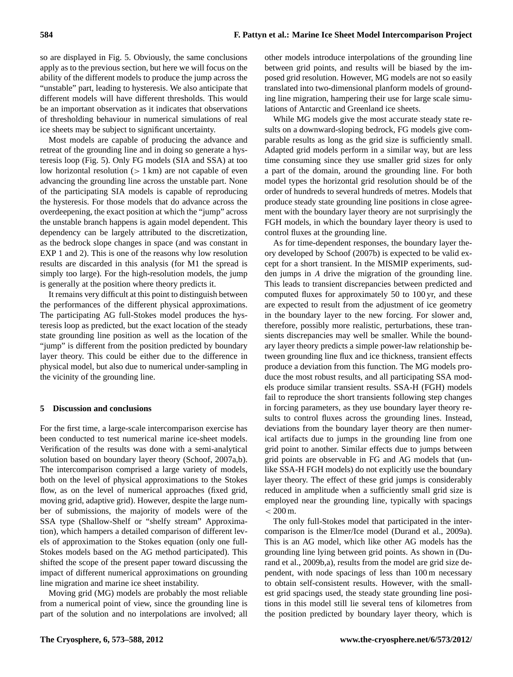so are displayed in Fig. [5.](#page-11-0) Obviously, the same conclusions apply as to the previous section, but here we will focus on the ability of the different models to produce the jump across the "unstable" part, leading to hysteresis. We also anticipate that different models will have different thresholds. This would be an important observation as it indicates that observations of thresholding behaviour in numerical simulations of real ice sheets may be subject to significant uncertainty.

Most models are capable of producing the advance and retreat of the grounding line and in doing so generate a hysteresis loop (Fig. [5\)](#page-11-0). Only FG models (SIA and SSA) at too low horizontal resolution  $(1 \text{ km})$  are not capable of even advancing the grounding line across the unstable part. None of the participating SIA models is capable of reproducing the hysteresis. For those models that do advance across the overdeepening, the exact position at which the "jump" across the unstable branch happens is again model dependent. This dependency can be largely attributed to the discretization, as the bedrock slope changes in space (and was constant in EXP 1 and 2). This is one of the reasons why low resolution results are discarded in this analysis (for M1 the spread is simply too large). For the high-resolution models, the jump is generally at the position where theory predicts it.

It remains very difficult at this point to distinguish between the performances of the different physical approximations. The participating AG full-Stokes model produces the hysteresis loop as predicted, but the exact location of the steady state grounding line position as well as the location of the "jump" is different from the position predicted by boundary layer theory. This could be either due to the difference in physical model, but also due to numerical under-sampling in the vicinity of the grounding line.

#### **5 Discussion and conclusions**

For the first time, a large-scale intercomparison exercise has been conducted to test numerical marine ice-sheet models. Verification of the results was done with a semi-analytical solution based on boundary layer theory [\(Schoof, 2007a,](#page-16-4)[b\)](#page-16-5). The intercomparison comprised a large variety of models, both on the level of physical approximations to the Stokes flow, as on the level of numerical approaches (fixed grid, moving grid, adaptive grid). However, despite the large number of submissions, the majority of models were of the SSA type (Shallow-Shelf or "shelfy stream" Approximation), which hampers a detailed comparison of different levels of approximation to the Stokes equation (only one full-Stokes models based on the AG method participated). This shifted the scope of the present paper toward discussing the impact of different numerical approximations on grounding line migration and marine ice sheet instability.

Moving grid (MG) models are probably the most reliable from a numerical point of view, since the grounding line is part of the solution and no interpolations are involved; all

other models introduce interpolations of the grounding line between grid points, and results will be biased by the imposed grid resolution. However, MG models are not so easily translated into two-dimensional planform models of grounding line migration, hampering their use for large scale simulations of Antarctic and Greenland ice sheets.

While MG models give the most accurate steady state results on a downward-sloping bedrock, FG models give comparable results as long as the grid size is sufficiently small. Adapted grid models perform in a similar way, but are less time consuming since they use smaller grid sizes for only a part of the domain, around the grounding line. For both model types the horizontal grid resolution should be of the order of hundreds to several hundreds of metres. Models that produce steady state grounding line positions in close agreement with the boundary layer theory are not surprisingly the FGH models, in which the boundary layer theory is used to control fluxes at the grounding line.

As for time-dependent responses, the boundary layer theory developed by [Schoof \(2007b\)](#page-16-5) is expected to be valid except for a short transient. In the MISMIP experiments, sudden jumps in A drive the migration of the grounding line. This leads to transient discrepancies between predicted and computed fluxes for approximately 50 to 100 yr, and these are expected to result from the adjustment of ice geometry in the boundary layer to the new forcing. For slower and, therefore, possibly more realistic, perturbations, these transients discrepancies may well be smaller. While the boundary layer theory predicts a simple power-law relationship between grounding line flux and ice thickness, transient effects produce a deviation from this function. The MG models produce the most robust results, and all participating SSA models produce similar transient results. SSA-H (FGH) models fail to reproduce the short transients following step changes in forcing parameters, as they use boundary layer theory results to control fluxes across the grounding lines. Instead, deviations from the boundary layer theory are then numerical artifacts due to jumps in the grounding line from one grid point to another. Similar effects due to jumps between grid points are observable in FG and AG models that (unlike SSA-H FGH models) do not explicitly use the boundary layer theory. The effect of these grid jumps is considerably reduced in amplitude when a sufficiently small grid size is employed near the grounding line, typically with spacings  $< 200 \,\mathrm{m}$ .

The only full-Stokes model that participated in the intercomparison is the Elmer/Ice model [\(Durand et al., 2009a\)](#page-15-6). This is an AG model, which like other AG models has the grounding line lying between grid points. As shown in [\(Du](#page-15-4)[rand et al., 2009b,](#page-15-4)[a\)](#page-15-6), results from the model are grid size dependent, with node spacings of less than 100 m necessary to obtain self-consistent results. However, with the smallest grid spacings used, the steady state grounding line positions in this model still lie several tens of kilometres from the position predicted by boundary layer theory, which is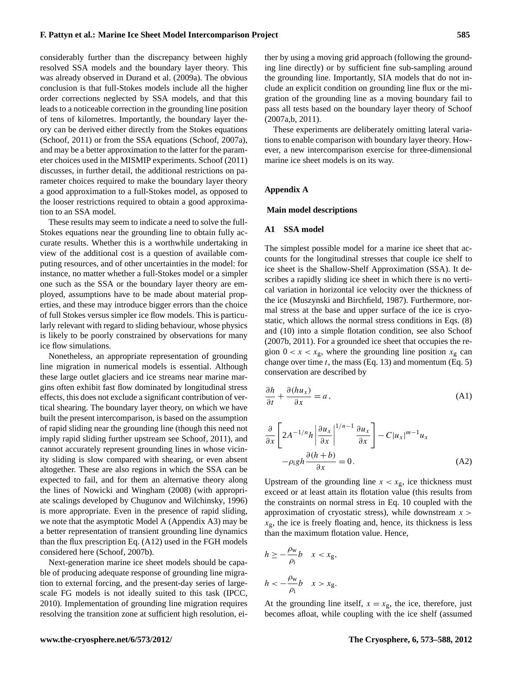considerably further than the discrepancy between highly resolved SSA models and the boundary layer theory. This was already observed in [Durand et al.](#page-15-6) [\(2009a\)](#page-15-6). The obvious conclusion is that full-Stokes models include all the higher order corrections neglected by SSA models, and that this leads to a noticeable correction in the grounding line position of tens of kilometres. Importantly, the boundary layer theory can be derived either directly from the Stokes equations [\(Schoof, 2011\)](#page-16-6) or from the SSA equations [\(Schoof, 2007a\)](#page-16-4), and may be a better approximation to the latter for the parameter choices used in the MISMIP experiments. [Schoof \(2011\)](#page-16-6) discusses, in further detail, the additional restrictions on parameter choices required to make the boundary layer theory a good approximation to a full-Stokes model, as opposed to the looser restrictions required to obtain a good approximation to an SSA model.

These results may seem to indicate a need to solve the full-Stokes equations near the grounding line to obtain fully accurate results. Whether this is a worthwhile undertaking in view of the additional cost is a question of available computing resources, and of other uncertainties in the model: for instance, no matter whether a full-Stokes model or a simpler one such as the SSA or the boundary layer theory are employed, assumptions have to be made about material properties, and these may introduce bigger errors than the choice of full Stokes versus simpler ice flow models. This is particularly relevant with regard to sliding behaviour, whose physics is likely to be poorly constrained by observations for many ice flow simulations.

Nonetheless, an appropriate representation of grounding line migration in numerical models is essential. Although these large outlet glaciers and ice streams near marine margins often exhibit fast flow dominated by longitudinal stress effects, this does not exclude a significant contribution of vertical shearing. The boundary layer theory, on which we have built the present intercomparison, is based on the assumption of rapid sliding near the grounding line (though this need not imply rapid sliding further upstream see [Schoof, 2011\)](#page-16-6), and cannot accurately represent grounding lines in whose vicinity sliding is slow compared with shearing, or even absent altogether. These are also regions in which the SSA can be expected to fail, and for them an alternative theory along the lines of [Nowicki and Wingham](#page-15-2) [\(2008\)](#page-15-2) (with appropriate scalings developed by [Chugunov and Wilchinsky, 1996\)](#page-15-20) is more appropriate. Even in the presence of rapid sliding, we note that the asymptotic Model A (Appendix [A3\)](#page-14-1) may be a better representation of transient grounding line dynamics than the flux prescription Eq. [\(A12\)](#page-14-0) used in the FGH models considered here [\(Schoof, 2007b\)](#page-16-5).

Next-generation marine ice sheet models should be capable of producing adequate response of grounding line migration to external forcing, and the present-day series of largescale FG models is not ideally suited to this task [\(IPCC,](#page-15-21) [2010\)](#page-15-21). Implementation of grounding line migration requires resolving the transition zone at sufficient high resolution, either by using a moving grid approach (following the grounding line directly) or by sufficient fine sub-sampling around the grounding line. Importantly, SIA models that do not include an explicit condition on grounding line flux or the migration of the grounding line as a moving boundary fail to pass all tests based on the boundary layer theory of [Schoof](#page-16-4) [\(2007a](#page-16-4)[,b,](#page-16-5) [2011\)](#page-16-6).

These experiments are deliberately omitting lateral variations to enable comparison with boundary layer theory. However, a new intercomparison exercise for three-dimensional marine ice sheet models is on its way.

#### **Appendix A**

#### <span id="page-13-0"></span>**Main model descriptions**

#### <span id="page-13-2"></span>**A1 SSA model**

The simplest possible model for a marine ice sheet that accounts for the longitudinal stresses that couple ice shelf to ice sheet is the Shallow-Shelf Approximation (SSA). It describes a rapidly sliding ice sheet in which there is no vertical variation in horizontal ice velocity over the thickness of the ice [\(Muszynski and Birchfield, 1987\)](#page-15-22). Furthermore, normal stress at the base and upper surface of the ice is cryostatic, which allows the normal stress conditions in Eqs. [\(8\)](#page-3-1) and [\(10\)](#page-3-0) into a simple flotation condition, see also [Schoof](#page-16-5) [\(2007b,](#page-16-5) [2011\)](#page-16-6). For a grounded ice sheet that occupies the region  $0 < x < x_g$ , where the grounding line position  $x_g$  can change over time  $t$ , the mass (Eq. [13\)](#page-3-2) and momentum (Eq. [5\)](#page-3-3) conservation are described by

$$
\frac{\partial h}{\partial t} + \frac{\partial (hu_x)}{\partial x} = a,
$$
 (A1)

<span id="page-13-1"></span>
$$
\frac{\partial}{\partial x} \left[ 2A^{-1/n} h \left| \frac{\partial u_x}{\partial x} \right|^{1/n - 1} \frac{\partial u_x}{\partial x} \right] - C |u_x|^{m - 1} u_x
$$

$$
- \rho_1 g h \frac{\partial (h + b)}{\partial x} = 0.
$$
(A2)

Upstream of the grounding line  $x < x_{\rm g}$ , ice thickness must exceed or at least attain its flotation value (this results from the constraints on normal stress in Eq. [10](#page-3-0) coupled with the approximation of cryostatic stress), while downstream  $x >$  $x<sub>g</sub>$ , the ice is freely floating and, hence, its thickness is less than the maximum flotation value. Hence,

$$
h \ge -\frac{\rho_{\rm w}}{\rho_{\rm i}}b \quad x < x_{\rm g},
$$
\n
$$
h < -\frac{\rho_{\rm w}}{\rho_{\rm i}}b \quad x > x_{\rm g}.
$$

At the grounding line itself,  $x = x<sub>g</sub>$ , the ice, therefore, just becomes afloat, while coupling with the ice shelf (assumed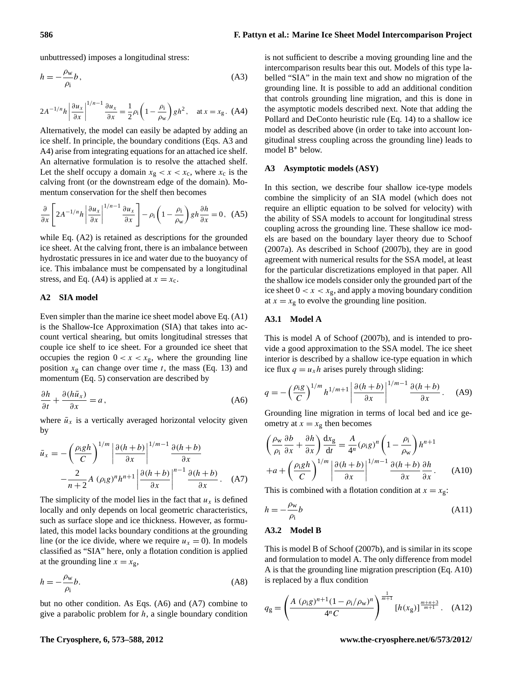#### **586 F. Pattyn et al.: Marine Ice Sheet Model Intercomparison Project**

unbuttressed) imposes a longitudinal stress:

$$
h = -\frac{\rho_{\rm w}}{\rho_{\rm i}}b\,,\tag{A3}
$$

$$
2A^{-1/n}h\left|\frac{\partial u_x}{\partial x}\right|^{1/n-1}\frac{\partial u_x}{\partial x} = \frac{1}{2}\rho_i\left(1 - \frac{\rho_i}{\rho_w}\right)gh^2, \quad \text{at } x = x_g. \tag{A4}
$$

<span id="page-14-3"></span>Alternatively, the model can easily be adapted by adding an ice shelf. In principle, the boundary conditions (Eqs. [A3](#page-14-2) and [A4\)](#page-14-3) arise from integrating equations for an attached ice shelf. An alternative formulation is to resolve the attached shelf. Let the shelf occupy a domain  $x_g < x < x_c$ , where  $x_c$  is the calving front (or the downstream edge of the domain). Momentum conservation for the shelf then becomes

$$
\frac{\partial}{\partial x}\left[2A^{-1/n}h\left|\frac{\partial u_x}{\partial x}\right|^{1/n-1}\frac{\partial u_x}{\partial x}\right]-\rho_i\left(1-\frac{\rho_i}{\rho_w}\right)gh\frac{\partial h}{\partial x}=0,\tag{A5}
$$

while Eq. [\(A2\)](#page-13-1) is retained as descriptions for the grounded ice sheet. At the calving front, there is an imbalance between hydrostatic pressures in ice and water due to the buoyancy of ice. This imbalance must be compensated by a longitudinal stress, and Eq. [\(A4\)](#page-14-3) is applied at  $x = x_c$ .

#### **A2 SIA model**

Even simpler than the marine ice sheet model above Eq. [\(A1\)](#page-13-2) is the Shallow-Ice Approximation (SIA) that takes into account vertical shearing, but omits longitudinal stresses that couple ice shelf to ice sheet. For a grounded ice sheet that occupies the region  $0 < x < x_{\text{g}}$ , where the grounding line position  $x_g$  can change over time t, the mass (Eq. [13\)](#page-3-2) and momentum (Eq. [5\)](#page-3-3) conservation are described by

$$
\frac{\partial h}{\partial t} + \frac{\partial (h\bar{u}_x)}{\partial x} = a,
$$
 (A6)

where  $\bar{u}_x$  is a vertically averaged horizontal velocity given by

<span id="page-14-5"></span>
$$
\bar{u}_x = -\left(\frac{\rho_1 gh}{C}\right)^{1/m} \left|\frac{\partial (h+b)}{\partial x}\right|^{1/m-1} \frac{\partial (h+b)}{\partial x}
$$

$$
-\frac{2}{n+2}A(\rho_1 g)^n h^{n+1} \left|\frac{\partial (h+b)}{\partial x}\right|^{n-1} \frac{\partial (h+b)}{\partial x}.
$$
 (A7)

The simplicity of the model lies in the fact that  $u_x$  is defined locally and only depends on local geometric characteristics, such as surface slope and ice thickness. However, as formulated, this model lacks boundary conditions at the grounding line (or the ice divide, where we require  $u_x = 0$ ). In models classified as "SIA" here, only a flotation condition is applied at the grounding line  $x = x_g$ ,

$$
h = -\frac{\rho_{\rm w}}{\rho_{\rm i}} b. \tag{A8}
$$

but no other condition. As Eqs. [\(A6\)](#page-14-4) and [\(A7\)](#page-14-5) combine to give a parabolic problem for  $h$ , a single boundary condition <span id="page-14-2"></span>is not sufficient to describe a moving grounding line and the intercomparison results bear this out. Models of this type labelled "SIA" in the main text and show no migration of the grounding line. It is possible to add an additional condition that controls grounding line migration, and this is done in the asymptotic models described next. Note that adding the [Pollard and DeConto](#page-16-13) heuristic rule (Eq. [14\)](#page-4-1) to a shallow ice model as described above (in order to take into account longitudinal stress coupling across the grounding line) leads to model B<sup>∗</sup> below.

#### <span id="page-14-1"></span>**A3 Asymptotic models (ASY)**

In this section, we describe four shallow ice-type models combine the simplicity of an SIA model (which does not require an elliptic equation to be solved for velocity) with the ability of SSA models to account for longitudinal stress coupling across the grounding line. These shallow ice models are based on the boundary layer theory due to [Schoof](#page-16-4) [\(2007a\)](#page-16-4). As described in [Schoof](#page-16-5) [\(2007b\)](#page-16-5), they are in good agreement with numerical results for the SSA model, at least for the particular discretizations employed in that paper. All the shallow ice models consider only the grounded part of the ice sheet  $0 < x < x_g$ , and apply a moving boundary condition at  $x = x_g$  to evolve the grounding line position.

#### **A3.1 Model A**

This is model A of [Schoof \(2007b\)](#page-16-5), and is intended to provide a good approximation to the SSA model. The ice sheet interior is described by a shallow ice-type equation in which ice flux  $q = u_x h$  arises purely through sliding:

<span id="page-14-7"></span><span id="page-14-4"></span>
$$
q = -\left(\frac{\rho_{\rm i}g}{C}\right)^{1/m} h^{1/m+1} \left| \frac{\partial (h+b)}{\partial x} \right|^{1/m-1} \frac{\partial (h+b)}{\partial x} . \quad \text{(A9)}
$$

Grounding line migration in terms of local bed and ice geometry at  $x = x_g$  then becomes

<span id="page-14-6"></span>
$$
\left(\frac{\rho_{w}}{\rho_{i}}\frac{\partial b}{\partial x} + \frac{\partial h}{\partial x}\right)\frac{dx_{g}}{dt} = \frac{A}{4^{n}}(\rho_{i}g)^{n}\left(1 - \frac{\rho_{i}}{\rho_{w}}\right)h^{n+1} + a + \left(\frac{\rho_{i}gh}{C}\right)^{1/m}\left|\frac{\partial (h+b)}{\partial x}\right|^{1/m-1}\frac{\partial (h+b)}{\partial x}\frac{\partial h}{\partial x}.
$$
 (A10)

This is combined with a flotation condition at  $x = x_g$ :

$$
h = -\frac{\rho_{\rm w}}{\rho_{\rm i}}b\tag{A11}
$$

#### **A3.2 Model B**

This is model B of [Schoof \(2007b\)](#page-16-5), and is similar in its scope and formulation to model A. The only difference from model A is that the grounding line migration prescription (Eq. [A10\)](#page-14-6) is replaced by a flux condition

<span id="page-14-0"></span>
$$
q_{g} = \left(\frac{A\ (\rho_{i}g)^{n+1}(1-\rho_{i}/\rho_{w})^{n}}{4^{n}C}\right)^{\frac{1}{m+1}}[h(x_{g})]^{\frac{m+n+3}{m+1}}.\quad (A12)
$$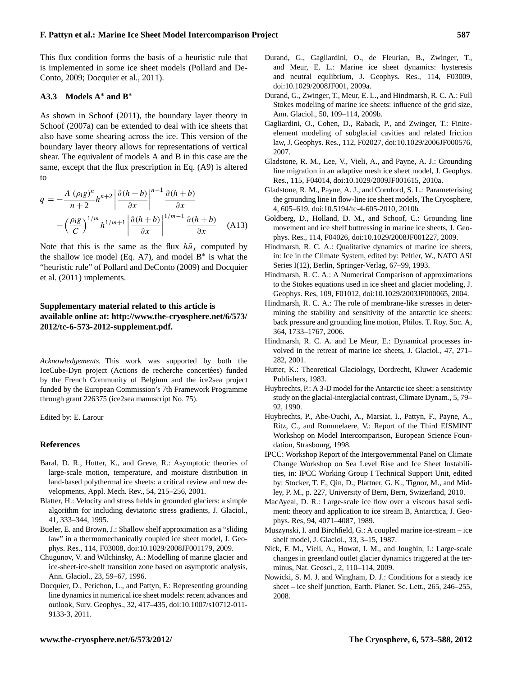This flux condition forms the basis of a heuristic rule that is implemented in some ice sheet models [\(Pollard and De-](#page-16-13)[Conto, 2009;](#page-16-13) [Docquier et al., 2011\)](#page-15-12).

#### **A3.3 Models A**<sup>∗</sup> **and B**<sup>∗</sup>

As shown in [Schoof](#page-16-6) [\(2011\)](#page-16-6), the boundary layer theory in [Schoof \(2007a\)](#page-16-4) can be extended to deal with ice sheets that also have some shearing across the ice. This version of the boundary layer theory allows for representations of vertical shear. The equivalent of models A and B in this case are the same, except that the flux prescription in Eq. [\(A9\)](#page-14-7) is altered to

$$
q = -\frac{A(\rho_{\rm i}g)^n}{n+2}h^{n+2}\left|\frac{\partial(h+b)}{\partial x}\right|^{n-1}\frac{\partial(h+b)}{\partial x}
$$

$$
-\left(\frac{\rho_{\rm i}g}{C}\right)^{1/m}h^{1/m+1}\left|\frac{\partial(h+b)}{\partial x}\right|^{1/m-1}\frac{\partial(h+b)}{\partial x} \quad \text{(A13)}
$$

Note that this is the same as the flux  $h\bar{u}_x$  computed by the shallow ice model (Eq. [A7\)](#page-14-5), and model  $B^*$  is what the "heuristic rule" of [Pollard and DeConto](#page-16-13) [\(2009\)](#page-16-13) and [Docquier](#page-15-12) [et al.](#page-15-12) [\(2011\)](#page-15-12) implements.

#### **Supplementary material related to this article is available online at: [http://www.the-cryosphere.net/6/573/](http://www.the-cryosphere.net/6/573/2012/tc-6-573-2012-supplement.pdf) [2012/tc-6-573-2012-supplement.pdf.](http://www.the-cryosphere.net/6/573/2012/tc-6-573-2012-supplement.pdf)**

*Acknowledgements.* This work was supported by both the IceCube-Dyn project (Actions de recherche concertées) funded by the French Community of Belgium and the ice2sea project funded by the European Commission's 7th Framework Programme through grant 226375 (ice2sea manuscript No. 75).

Edited by: E. Larour

#### **References**

- <span id="page-15-10"></span>Baral, D. R., Hutter, K., and Greve, R.: Asymptotic theories of large-scale motion, temperature, and moisture distribution in land-based polythermal ice sheets: a critical review and new developments, Appl. Mech. Rev., 54, 215–256, 2001.
- <span id="page-15-7"></span>Blatter, H.: Velocity and stress fields in grounded glaciers: a simple algorithm for including deviatoric stress gradients, J. Glaciol., 41, 333–344, 1995.
- <span id="page-15-16"></span>Bueler, E. and Brown, J.: Shallow shelf approximation as a "sliding law" in a thermomechanically coupled ice sheet model, J. Geophys. Res., 114, F03008, [doi:10.1029/2008JF001179,](http://dx.doi.org/10.1029/2008JF001179) 2009.
- <span id="page-15-20"></span>Chugunov, V. and Wilchinsky, A.: Modelling of marine glacier and ice-sheet-ice-shelf transition zone based on asymptotic analysis, Ann. Glaciol., 23, 59–67, 1996.
- <span id="page-15-12"></span>Docquier, D., Perichon, L., and Pattyn, F.: Representing grounding line dynamics in numerical ice sheet models: recent advances and outlook, Surv. Geophys., 32, 417–435, [doi:10.1007/s10712-011-](http://dx.doi.org/10.1007/s10712-011-9133-3) [9133-3,](http://dx.doi.org/10.1007/s10712-011-9133-3) 2011.
- <span id="page-15-6"></span>Durand, G., Gagliardini, O., de Fleurian, B., Zwinger, T., and Meur, E. L.: Marine ice sheet dynamics: hysteresis and neutral equlibrium, J. Geophys. Res., 114, F03009, [doi:10.1029/2008JF001,](http://dx.doi.org/10.1029/2008JF001) 2009a.
- <span id="page-15-4"></span>Durand, G., Zwinger, T., Meur, E. L., and Hindmarsh, R. C. A.: Full Stokes modeling of marine ice sheets: influence of the grid size, Ann. Glaciol., 50, 109–114, 2009b.
- <span id="page-15-5"></span>Gagliardini, O., Cohen, D., Raback, P., and Zwinger, T.: Finiteelement modeling of subglacial cavities and related friction law, J. Geophys. Res., 112, F02027, [doi:10.1029/2006JF000576,](http://dx.doi.org/10.1029/2006JF000576) 2007.
- <span id="page-15-15"></span>Gladstone, R. M., Lee, V., Vieli, A., and Payne, A. J.: Grounding line migration in an adaptive mesh ice sheet model, J. Geophys. Res., 115, F04014, [doi:10.1029/2009JF001615,](http://dx.doi.org/10.1029/2009JF001615) 2010a.
- <span id="page-15-18"></span>Gladstone, R. M., Payne, A. J., and Cornford, S. L.: Parameterising the grounding line in flow-line ice sheet models, The Cryosphere, 4, 605–619, [doi:10.5194/tc-4-605-2010,](http://dx.doi.org/10.5194/tc-4-605-2010) 2010b.
- <span id="page-15-3"></span>Goldberg, D., Holland, D. M., and Schoof, C.: Grounding line movement and ice shelf buttressing in marine ice sheets, J. Geophys. Res., 114, F04026, [doi:10.1029/2008JF001227,](http://dx.doi.org/10.1029/2008JF001227) 2009.
- <span id="page-15-0"></span>Hindmarsh, R. C. A.: Qualitative dynamics of marine ice sheets, in: Ice in the Climate System, edited by: Peltier, W., NATO ASI Series I(12), Berlin, Springer-Verlag, 67–99, 1993.
- <span id="page-15-11"></span>Hindmarsh, R. C. A.: A Numerical Comparison of approximations to the Stokes equations used in ice sheet and glacier modeling, J. Geophys. Res, 109, F01012, [doi:10.1029/2003JF000065,](http://dx.doi.org/10.1029/2003JF000065) 2004.
- <span id="page-15-1"></span>Hindmarsh, R. C. A.: The role of membrane-like stresses in determining the stability and sensitivity of the antarctic ice sheets: back pressure and grounding line motion, Philos. T. Roy. Soc. A, 364, 1733–1767, 2006.
- <span id="page-15-14"></span>Hindmarsh, R. C. A. and Le Meur, E.: Dynamical processes involved in the retreat of marine ice sheets, J. Glaciol., 47, 271– 282, 2001.
- <span id="page-15-9"></span>Hutter, K.: Theoretical Glaciology, Dordrecht, Kluwer Academic Publishers, 1983.
- <span id="page-15-13"></span>Huybrechts, P.: A 3-D model for the Antarctic ice sheet: a sensitivity study on the glacial-interglacial contrast, Climate Dynam., 5, 79– 92, 1990.
- <span id="page-15-19"></span>Huybrechts, P., Abe-Ouchi, A., Marsiat, I., Pattyn, F., Payne, A., Ritz, C., and Rommelaere, V.: Report of the Third EISMINT Workshop on Model Intercomparison, European Science Foundation, Strasbourg, 1998.
- <span id="page-15-21"></span>IPCC: Workshop Report of the Intergovernmental Panel on Climate Change Workshop on Sea Level Rise and Ice Sheet Instabilities, in: IPCC Working Group I Technical Support Unit, edited by: Stocker, T. F., Qin, D., Plattner, G. K., Tignor, M., and Midley, P. M., p. 227, University of Bern, Bern, Swizerland, 2010.
- <span id="page-15-8"></span>MacAyeal, D. R.: Large-scale ice flow over a viscous basal sediment: theory and application to ice stream B, Antarctica, J. Geophys. Res, 94, 4071–4087, 1989.
- <span id="page-15-22"></span>Muszynski, I. and Birchfield, G.: A coupled marine ice-stream – ice shelf model, J. Glaciol., 33, 3–15, 1987.
- <span id="page-15-17"></span>Nick, F. M., Vieli, A., Howat, I. M., and Joughin, I.: Large-scale changes in greenland outlet glacier dynamics triggered at the terminus, Nat. Geosci., 2, 110–114, 2009.
- <span id="page-15-2"></span>Nowicki, S. M. J. and Wingham, D. J.: Conditions for a steady ice sheet – ice shelf junction, Earth. Planet. Sc. Lett., 265, 246–255, 2008.